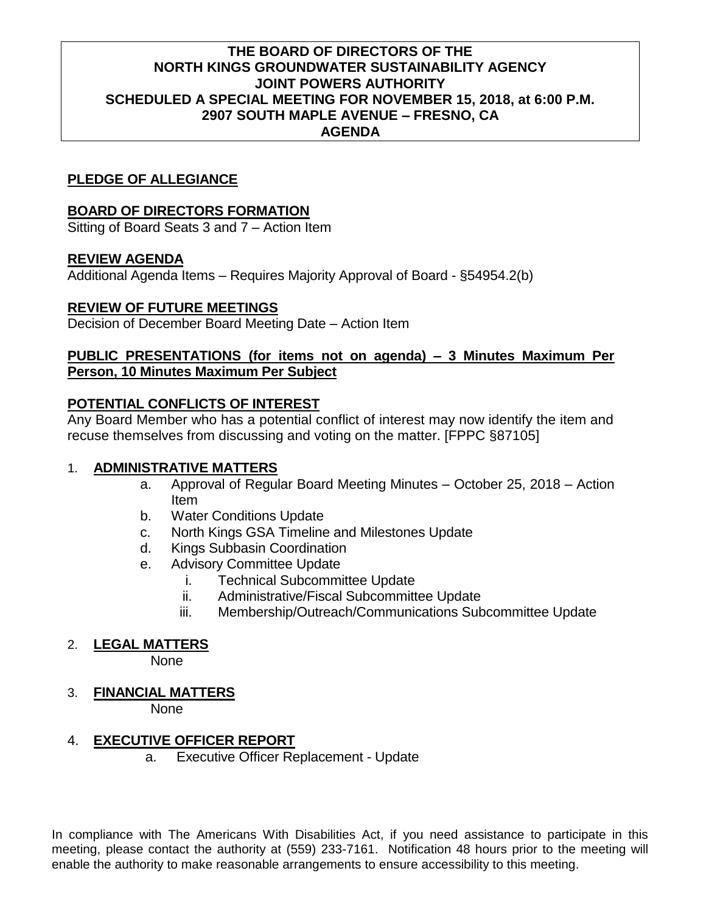## **THE BOARD OF DIRECTORS OF THE NORTH KINGS GROUNDWATER SUSTAINABILITY AGENCY JOINT POWERS AUTHORITY SCHEDULED A SPECIAL MEETING FOR NOVEMBER 15, 2018, at 6:00 P.M. 2907 SOUTH MAPLE AVENUE – FRESNO, CA AGENDA**

# **PLEDGE OF ALLEGIANCE**

## **BOARD OF DIRECTORS FORMATION**

Sitting of Board Seats 3 and 7 – Action Item

# **REVIEW AGENDA**

Additional Agenda Items – Requires Majority Approval of Board - §54954.2(b)

## **REVIEW OF FUTURE MEETINGS**

Decision of December Board Meeting Date – Action Item

## **PUBLIC PRESENTATIONS (for items not on agenda) – 3 Minutes Maximum Per Person, 10 Minutes Maximum Per Subject**

# **POTENTIAL CONFLICTS OF INTEREST**

Any Board Member who has a potential conflict of interest may now identify the item and recuse themselves from discussing and voting on the matter. [FPPC §87105]

## 1. **ADMINISTRATIVE MATTERS**

- a. Approval of Regular Board Meeting Minutes October 25, 2018 Action Item
- b. Water Conditions Update
- c. North Kings GSA Timeline and Milestones Update
- d. Kings Subbasin Coordination
- e. Advisory Committee Update
	- i. Technical Subcommittee Update
	- ii. Administrative/Fiscal Subcommittee Update
	- iii. Membership/Outreach/Communications Subcommittee Update

## 2. **LEGAL MATTERS**

None

3. **FINANCIAL MATTERS**

None

## 4. **EXECUTIVE OFFICER REPORT**

a. Executive Officer Replacement - Update

In compliance with The Americans With Disabilities Act, if you need assistance to participate in this meeting, please contact the authority at (559) 233-7161. Notification 48 hours prior to the meeting will enable the authority to make reasonable arrangements to ensure accessibility to this meeting.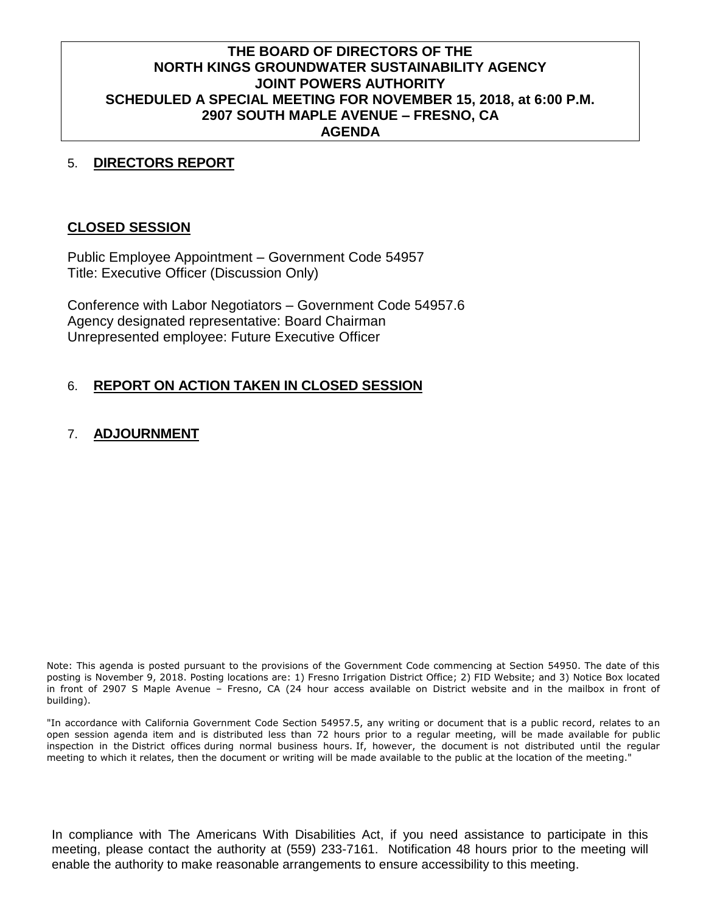## **THE BOARD OF DIRECTORS OF THE NORTH KINGS GROUNDWATER SUSTAINABILITY AGENCY JOINT POWERS AUTHORITY SCHEDULED A SPECIAL MEETING FOR NOVEMBER 15, 2018, at 6:00 P.M. 2907 SOUTH MAPLE AVENUE – FRESNO, CA AGENDA**

#### 5. **DIRECTORS REPORT**

#### **CLOSED SESSION**

Public Employee Appointment – Government Code 54957 Title: Executive Officer (Discussion Only)

Conference with Labor Negotiators – Government Code 54957.6 Agency designated representative: Board Chairman Unrepresented employee: Future Executive Officer

## 6. **REPORT ON ACTION TAKEN IN CLOSED SESSION**

#### 7. **ADJOURNMENT**

Note: This agenda is posted pursuant to the provisions of the Government Code commencing at Section 54950. The date of this posting is November 9, 2018. Posting locations are: 1) Fresno Irrigation District Office; 2) FID Website; and 3) Notice Box located in front of 2907 S Maple Avenue – Fresno, CA (24 hour access available on District website and in the mailbox in front of building).

"In accordance with California Government Code Section 54957.5, any writing or document that is a public record, relates to an open session agenda item and is distributed less than 72 hours prior to a regular meeting, will be made available for public inspection in the District offices during normal business hours. If, however, the document is not distributed until the regular meeting to which it relates, then the document or writing will be made available to the public at the location of the meeting."

In compliance with The Americans With Disabilities Act, if you need assistance to participate in this meeting, please contact the authority at (559) 233-7161. Notification 48 hours prior to the meeting will enable the authority to make reasonable arrangements to ensure accessibility to this meeting.